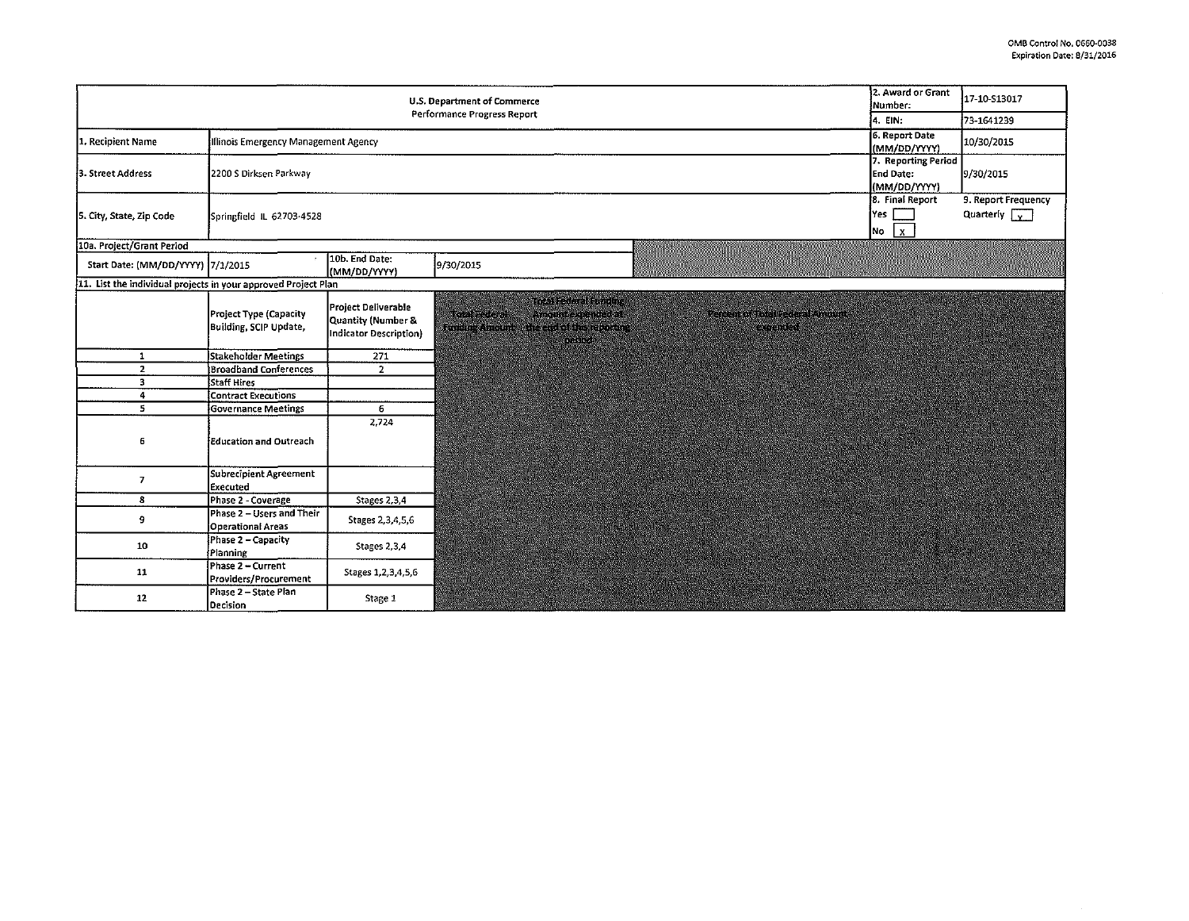$\sim$ 

 $\sim$ 

| U.S. Department of Commerce<br>Performance Progress Report     |                                                       |                                                                     |                            |                                                                                        |                                                         | 2. Award or Grant<br>Number:                     | 17-10-S13017                                |
|----------------------------------------------------------------|-------------------------------------------------------|---------------------------------------------------------------------|----------------------------|----------------------------------------------------------------------------------------|---------------------------------------------------------|--------------------------------------------------|---------------------------------------------|
|                                                                |                                                       |                                                                     |                            |                                                                                        |                                                         | <sup>1</sup> 4. EIN:                             | 73-1641239                                  |
| 1. Recipient Name                                              | Illinois Emergency Management Agency                  |                                                                     |                            |                                                                                        |                                                         | 6. Report Date<br>(MM/DD/YYYY)                   | 10/30/2015                                  |
| 3. Street Address                                              | 2200 S Dirksen Parkway                                |                                                                     |                            |                                                                                        |                                                         | 7. Reporting Period<br>End Date:<br>(MM/DD/YYYY) | 9/30/2015                                   |
| 5. City, State, Zip Code                                       | Springfield IL 62703-4528                             |                                                                     |                            |                                                                                        |                                                         | 8. Final Report<br>Yes<br>No $x$                 | 9. Report Frequency<br>Quarterly $\sqrt{y}$ |
| 10a. Project/Grant Period                                      |                                                       |                                                                     |                            |                                                                                        |                                                         |                                                  |                                             |
| Start Date: (MM/DD/YYYY) 7/1/2015                              |                                                       | 10b. End Date:<br>(MM/DD/YYYY)                                      | 9/30/2015                  |                                                                                        |                                                         |                                                  |                                             |
| 11. List the individual projects in your approved Project Plan |                                                       |                                                                     |                            |                                                                                        |                                                         |                                                  |                                             |
|                                                                | Project Type (Capacity<br>Building, SCIP Update,      | Project Deliverable<br>Quantity (Number &<br>Indicator Description) | KY ENERGY<br>Suitar Anopak | THE REGISTER OF BUILDING<br>AIR INSEXERING TA<br>RATE CALL EN REGISTRATION<br>MARKASTA | <b>Referred Station Report America</b><br>a a fara a ch |                                                  |                                             |
| $\mathbf{1}$                                                   | <b>Stakeholder Meetings</b>                           | 271                                                                 |                            |                                                                                        |                                                         |                                                  |                                             |
| $\mathbf{z}$                                                   | <b>Broadband Conferences</b>                          | $\overline{2}$                                                      |                            |                                                                                        |                                                         |                                                  |                                             |
| 3                                                              | Staff Hires                                           |                                                                     |                            |                                                                                        |                                                         |                                                  |                                             |
| 4                                                              | Contract Executions                                   |                                                                     |                            |                                                                                        |                                                         |                                                  |                                             |
| 5                                                              | Governance Meetings                                   | 6                                                                   |                            |                                                                                        |                                                         |                                                  |                                             |
| 6                                                              | <b>Education and Outreach</b>                         | 2,724                                                               |                            |                                                                                        |                                                         |                                                  |                                             |
| $\overline{7}$                                                 | Subrecipient Agreement<br>Executed                    |                                                                     |                            |                                                                                        |                                                         |                                                  |                                             |
| 8                                                              | Phase 2 - Coverage                                    | Stages 2,3,4                                                        |                            |                                                                                        |                                                         |                                                  |                                             |
| 9                                                              | Phase 2 - Users and Their<br><b>Operational Areas</b> | Stages 2,3,4,5,6                                                    |                            |                                                                                        |                                                         |                                                  |                                             |
| 10                                                             | Phase 2 - Capacity<br>Planning                        | Stages 2.3,4                                                        |                            |                                                                                        |                                                         |                                                  |                                             |
| 11                                                             | Phase 2 - Current<br>Providers/Procurement            | Stages 1, 2, 3, 4, 5, 6                                             |                            |                                                                                        |                                                         |                                                  |                                             |
| 12                                                             | Phase 2 - State Plan<br>Decision                      | Stage 1                                                             |                            |                                                                                        |                                                         |                                                  |                                             |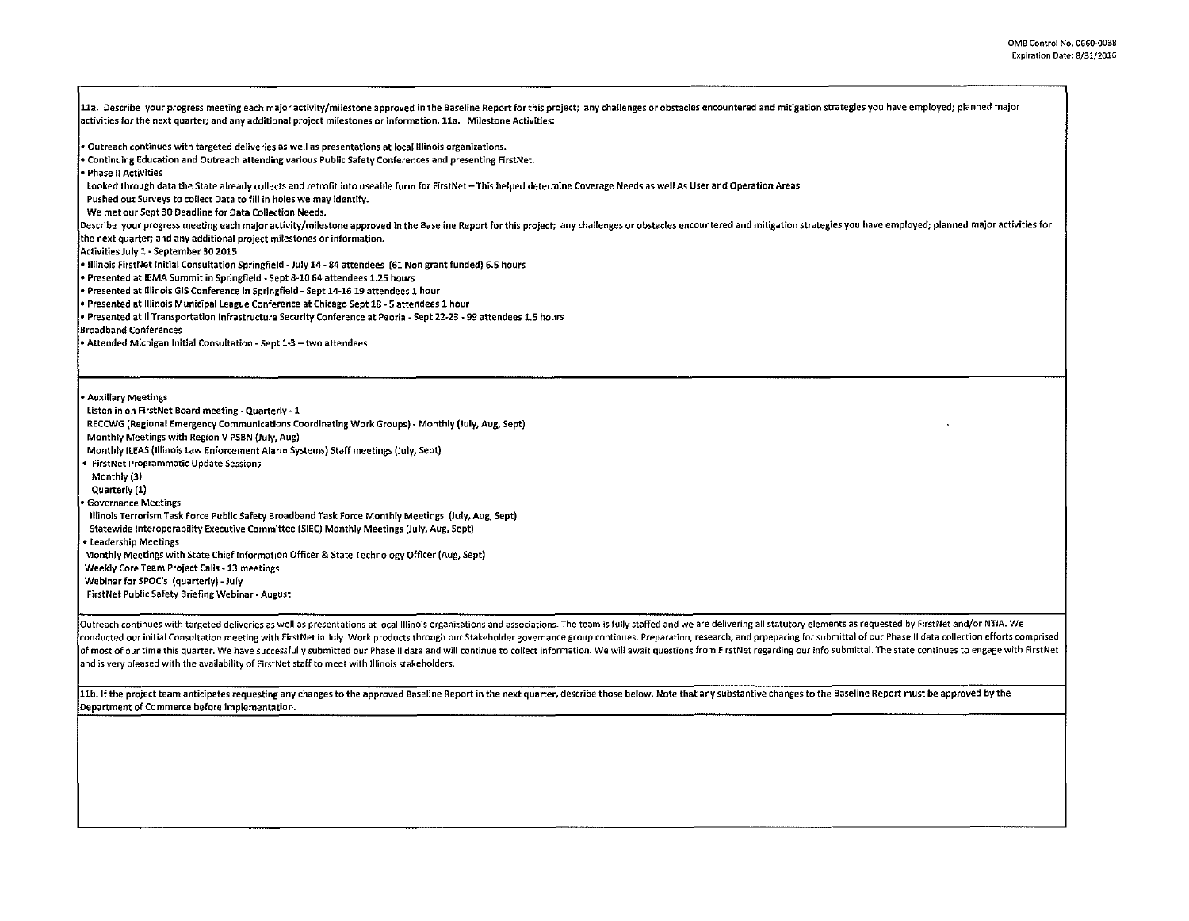11a. Describe your progress meeting each major activity/milestone approved in the Baseline Report for this project; any challenges or obstacles encountered and mitigation strategies you have employed; planned major activities for the next quarter; and any additional project milestones or information. lla. Milestone Activities:

• Outreach continues with targeted deliveries as well as presentations at local Illinois organizations.

• Continuing Education and Outreach attending various Public Safety Conferences and presenting FirstNet.

• Phase II Activities

looked through data the State already collects and retrofit into useable form for FirstNet- This helped determine Coverage Needs as well As User and Operation Areas

Pushed out Surveys to collect Data to fill in holes we may identify.

We met our Sept 30 Deadline for Data Collection Needs.

Describe your progress meeting each major activity/milestone approved in the Baseline Report for this project; any challenges or obstacles encountered and mitigation strategies you have employed; planned major activities f

the next quarter; and any additional project milestones or information.

Activities July 1 ·September 30 2015

• Illinois FirstNet Initial Consultation Springfield ·July 14-84 attendees (61 Non grant funded) 6.5 hours

• Presented at IEMA Summit in Springfield - Sept 8-10 64 attendees 1.25 hours

• Presented at Illinois GIS Conference in Springfield- Sept 14-1619 attendees 1 hour

• Presented at Illinois Municipal league Conference at Chicago Sept 18-5 attendees 1 hour

• Presented at II Transportation Infrastructure Security Conference at Peoria -Sept 22-23 - 99 attendees 1.5 hours

Broadband Conferences

• Attended Michigan Initial Consultation- Sept 1-3 -two attendees

• Auxiliary Meetings

listen in on FirstNet Board meeting- Quarterly -1

RECCWG (Regional Emergency Communications Coordinating Work Groups)- Monthly (July, Aug, Sept)

Monthly Meetings with Region v PSBN {July, Aug)

Monthly ILEAS (Illinois Law Enforcement Alarm Systems) Staff meetings (July, Sept)

• FirstNet Programmatic Update Sessions

Monthly(3)

Quarterly (1)

• Governance Meetings

Illinois Terrorism Task Force Public Safety Broadband Task Force Monthly Meetings (July, Aug, Sept)

Statewide lnteroperability Executive Committee (SIEC) Monthly Meetings (July, Aug, Sept)

• leadership Meetings

Monthly Meetings with State Chief Information Officer & State Technology Officer (Aug, Sept)

Weekly Core Team Project Calls- 13 meetings

Webinarfor SPOC's (quarterly)-July

FirstNet Public Safety Briefing Webinar- August

Outreach continues with targeted deliveries as well as presentations at local Illinois organizations and associations. The team is fully staffed and we are delivering all statutory elements as requested by FirstNet and/or conducted our initial Consultation meeting with FirstNet in July. Work products through our Stakeholder governance group continues. Preparation, research, and prpeparing for submittal of our Phase II data collection effort of most of our time this quarter. We have successfully submitted our Phase II data and will continue to collect information. We will await questions from FirstNet regarding our info submittal. The state continues to engage and is very pleased with the availability of FirstNet staff to meet with Illinois stakeholders.

11b. If the project team anticipates requesting any changes to the approved Baseline Report in the next quarter, describe those below. Note that any substantive changes to the Baseline Report must be approved by the Department of Commerce before implementation.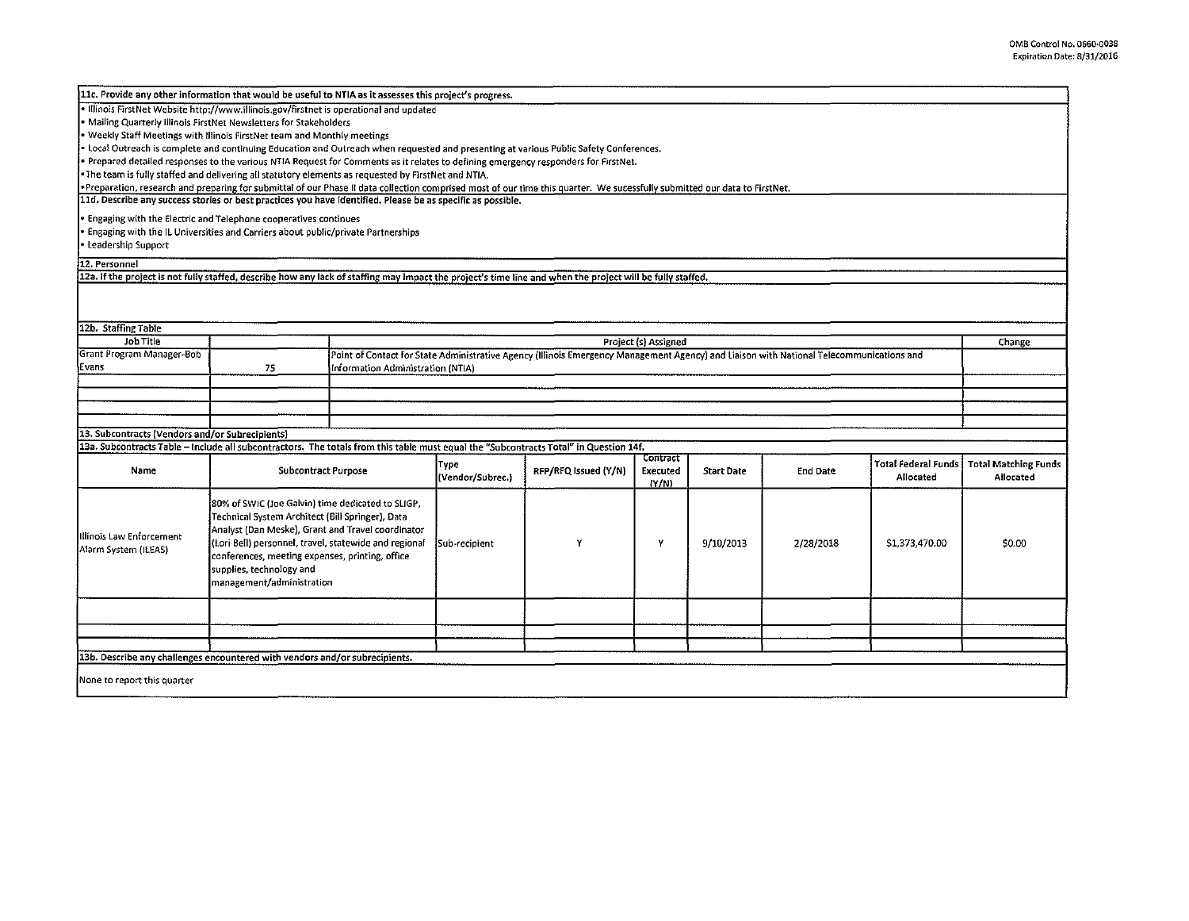| 11c. Provide any other information that would be useful to NTIA as it assesses this project's progress.                                                                     |                                                                                                          |                                                       |                                                                                                                                          |                      |          |                   |           |                            |                             |  |
|-----------------------------------------------------------------------------------------------------------------------------------------------------------------------------|----------------------------------------------------------------------------------------------------------|-------------------------------------------------------|------------------------------------------------------------------------------------------------------------------------------------------|----------------------|----------|-------------------|-----------|----------------------------|-----------------------------|--|
| . Illinois FirstNet Website http://www.illinois.gov/firstnet is operational and updated                                                                                     |                                                                                                          |                                                       |                                                                                                                                          |                      |          |                   |           |                            |                             |  |
| . Mailing Quarterly Illinois FirstNet Newsletters for Stakeholders                                                                                                          |                                                                                                          |                                                       |                                                                                                                                          |                      |          |                   |           |                            |                             |  |
| Weekly Staff Meetings with Illinois FirstNet team and Monthly meetings                                                                                                      |                                                                                                          |                                                       |                                                                                                                                          |                      |          |                   |           |                            |                             |  |
| • Local Outreach is complete and continuing Education and Outreach when requested and presenting at various Public Safety Conferences.                                      |                                                                                                          |                                                       |                                                                                                                                          |                      |          |                   |           |                            |                             |  |
| Prepared detailed responses to the various NTIA Request for Comments as it relates to defining emergency responders for FirstNet.                                           |                                                                                                          |                                                       |                                                                                                                                          |                      |          |                   |           |                            |                             |  |
| .Alle team is fully staffed and delivering all statutory elements as requested by FirstNet and NTIA آوا                                                                     |                                                                                                          |                                                       |                                                                                                                                          |                      |          |                   |           |                            |                             |  |
| .Preparation, research and preparing for submittal of our Phase II data collection comprised most of our time this quarter. We sucessfully submitted our data to FirstNet.  |                                                                                                          |                                                       |                                                                                                                                          |                      |          |                   |           |                            |                             |  |
| 11d. Describe any success stories or best practices you have identified. Please be as specific as possible.                                                                 |                                                                                                          |                                                       |                                                                                                                                          |                      |          |                   |           |                            |                             |  |
| . Engaging with the Electric and Telephone cooperatives continues                                                                                                           |                                                                                                          |                                                       |                                                                                                                                          |                      |          |                   |           |                            |                             |  |
|                                                                                                                                                                             | . Engaging with the IL Universities and Carriers about public/private Partnerships                       |                                                       |                                                                                                                                          |                      |          |                   |           |                            |                             |  |
| • Leadership Support                                                                                                                                                        |                                                                                                          |                                                       |                                                                                                                                          |                      |          |                   |           |                            |                             |  |
|                                                                                                                                                                             |                                                                                                          |                                                       |                                                                                                                                          |                      |          |                   |           |                            |                             |  |
| 12. Personnel<br>12a. If the project is not fully staffed, describe how any lack of staffing may impact the project's time line and when the project will be fully staffed. |                                                                                                          |                                                       |                                                                                                                                          |                      |          |                   |           |                            |                             |  |
|                                                                                                                                                                             |                                                                                                          |                                                       |                                                                                                                                          |                      |          |                   |           |                            |                             |  |
|                                                                                                                                                                             |                                                                                                          |                                                       |                                                                                                                                          |                      |          |                   |           |                            |                             |  |
|                                                                                                                                                                             |                                                                                                          |                                                       |                                                                                                                                          |                      |          |                   |           |                            |                             |  |
| 12b. Staffing Table                                                                                                                                                         |                                                                                                          |                                                       |                                                                                                                                          |                      |          |                   |           |                            |                             |  |
| <b>Job Title</b>                                                                                                                                                            |                                                                                                          |                                                       | Project (s) Assigned<br>Change                                                                                                           |                      |          |                   |           |                            |                             |  |
| Grant Program Manager-Bob                                                                                                                                                   |                                                                                                          |                                                       | Point of Contact for State Administrative Agency (Illinois Emergency Management Agency) and Liaison with National Telecommunications and |                      |          |                   |           |                            |                             |  |
| Evans                                                                                                                                                                       | 75                                                                                                       | Information Administration (NTIA)                     |                                                                                                                                          |                      |          |                   |           |                            |                             |  |
|                                                                                                                                                                             |                                                                                                          |                                                       |                                                                                                                                          |                      |          |                   |           |                            |                             |  |
|                                                                                                                                                                             |                                                                                                          |                                                       |                                                                                                                                          |                      |          |                   |           |                            |                             |  |
|                                                                                                                                                                             |                                                                                                          |                                                       |                                                                                                                                          |                      |          |                   |           |                            |                             |  |
|                                                                                                                                                                             |                                                                                                          |                                                       |                                                                                                                                          |                      |          |                   |           |                            |                             |  |
| 13. Subcontracts (Vendors and/or Subrecipients)                                                                                                                             |                                                                                                          |                                                       |                                                                                                                                          |                      |          |                   |           |                            |                             |  |
|                                                                                                                                                                             |                                                                                                          |                                                       |                                                                                                                                          |                      |          |                   |           |                            |                             |  |
| 13a. Subcontracts Table - Include all subcontractors. The totals from this table must equal the "Subcontracts Total" in Question 14f.<br>Contract                           |                                                                                                          |                                                       |                                                                                                                                          |                      |          |                   |           |                            |                             |  |
| Name                                                                                                                                                                        | Subcontract Purpose                                                                                      |                                                       | Type                                                                                                                                     | RFP/RFQ Issued (Y/N) | Executed | <b>Start Date</b> | End Date  | <b>Total Federal Funds</b> | <b>Total Matching Funds</b> |  |
|                                                                                                                                                                             |                                                                                                          |                                                       | (Vendor/Subrec.)                                                                                                                         |                      | (Y/N)    |                   |           | Allocated                  | Allocated                   |  |
|                                                                                                                                                                             |                                                                                                          |                                                       |                                                                                                                                          |                      |          |                   |           |                            |                             |  |
|                                                                                                                                                                             | 80% of SWIC (Joe Galvin) time dedicated to SLIGP.                                                        |                                                       |                                                                                                                                          |                      |          |                   |           |                            |                             |  |
|                                                                                                                                                                             | Technical System Architect (Bill Springer), Data<br>Analyst (Dan Meske), Grant and Travel coordinator    |                                                       | Sub-recipient                                                                                                                            | Y                    | Y        | 9/10/2013         | 2/28/2018 | \$1,373,470.00             | \$0.00                      |  |
| Illinois Law Enforcement                                                                                                                                                    |                                                                                                          |                                                       |                                                                                                                                          |                      |          |                   |           |                            |                             |  |
| Alarm System (ILEAS)                                                                                                                                                        |                                                                                                          | (Lori Bell) personnel, travel, statewide and regional |                                                                                                                                          |                      |          |                   |           |                            |                             |  |
|                                                                                                                                                                             | conferences, meeting expenses, printing, office<br>supplies, technology and<br>management/administration |                                                       |                                                                                                                                          |                      |          |                   |           |                            |                             |  |
|                                                                                                                                                                             |                                                                                                          |                                                       |                                                                                                                                          |                      |          |                   |           |                            |                             |  |
|                                                                                                                                                                             |                                                                                                          |                                                       |                                                                                                                                          |                      |          |                   |           |                            |                             |  |
|                                                                                                                                                                             |                                                                                                          |                                                       |                                                                                                                                          |                      |          |                   |           |                            |                             |  |
|                                                                                                                                                                             |                                                                                                          |                                                       |                                                                                                                                          |                      |          |                   |           |                            |                             |  |
|                                                                                                                                                                             |                                                                                                          |                                                       |                                                                                                                                          |                      |          |                   |           |                            |                             |  |
|                                                                                                                                                                             |                                                                                                          |                                                       |                                                                                                                                          |                      |          |                   |           |                            |                             |  |
| 13b. Describe any challenges encountered with vendors and/or subrecipients.                                                                                                 |                                                                                                          |                                                       |                                                                                                                                          |                      |          |                   |           |                            |                             |  |
|                                                                                                                                                                             |                                                                                                          |                                                       |                                                                                                                                          |                      |          |                   |           |                            |                             |  |
| None to report this quarter                                                                                                                                                 |                                                                                                          |                                                       |                                                                                                                                          |                      |          |                   |           |                            |                             |  |